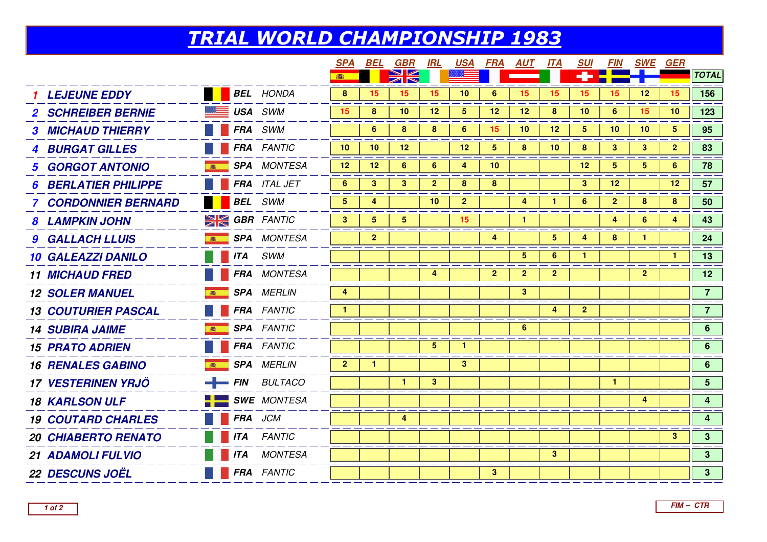## TRIAL WORLD CHAMPIONSHIP 1983

|                                              |            |                            | <b>SPA</b>     | BEL            | <u>GBR</u>           | <u>IRL</u>     | <u>USA</u>     | <u>FRA</u>     | <u>AUT</u>     | <u>ITA</u>      | <b>SUI</b>     | <b>FIN</b>      | <u>SWE GER</u>  |                |                 |
|----------------------------------------------|------------|----------------------------|----------------|----------------|----------------------|----------------|----------------|----------------|----------------|-----------------|----------------|-----------------|-----------------|----------------|-----------------|
|                                              |            |                            | 本              |                | ZN                   |                |                |                |                |                 |                |                 |                 |                | <b>TOTAL</b>    |
| <b>LEJEUNE EDDY</b>                          |            | <b>BEL</b> HONDA           | 8              | 15             | 15                   | 15             | 10             | 6              | 15             | 15              | 15             | 15              | 12              | 15             | 156             |
| <b>BE USA</b> SWM<br><b>SCHREIBER BERNIE</b> |            |                            | 15             | 8              | 10                   | 12             | 5              | 12             | 12             | 8               | 10             | 6               | 15              | 10             | 123             |
| <b>3 MICHAUD THIERRY</b>                     |            | <b>FRA</b> SWM             |                | 6              | 8                    | 8              | 6              | 15             | 10             | 12              | 5              | 10              | 10              | 5 <sub>5</sub> | 95              |
| <b>4 BURGAT GILLES</b>                       |            | <b>FRA</b> FANTIC          | 10             | 10             | 12                   |                | 12             | 5              | 8              | 10              | 8              | 3 <sup>1</sup>  | $\mathbf{3}$    | $\mathbf{2}$   | 83              |
| <b>GORGOT ANTONIO</b>                        |            | <b>SPA</b> MONTESA         | 12             | 12             | $6\phantom{1}$       | $6^{\circ}$    | 4              | 10             |                |                 | 12             | 5               | $5\overline{)}$ | $6\phantom{1}$ | 78              |
| <b>BERLATIER PHILIPPE</b>                    |            | FRA ITAL JET               | 6              | $\mathbf{3}$   | 3                    | $\mathbf{2}$   | 8              | 8              |                |                 | 3              | 12 <sup>°</sup> |                 | $12 \,$        | 57              |
| <b>7 CORDONNIER BERNARD</b>                  |            | <b>BEL</b> SWM             | 5              | 4              |                      | 10             | $\mathbf{2}$   |                | 4              |                 | 6              | $\overline{2}$  | 8               | 8              | 50              |
| <b>8 LAMPKIN JOHN</b>                        |            | <b>SIGBR FANTIC</b>        | 3 <sup>2</sup> | $\overline{5}$ | $5\phantom{.0}$      |                | 15             |                | $\mathbf{1}$   |                 |                | 4               | 6               | 4              | 43              |
| <b>9 GALLACH LLUIS</b><br>高                  |            | <b>SPA</b> MONTESA         |                | $\overline{2}$ |                      |                |                | 4              |                | $5\phantom{.0}$ | 4              | 8               | $\mathbf{1}$    |                | 24              |
| <b>10 GALEAZZI DANILO</b>                    |            | <b>ITA</b> SWM             |                |                |                      |                |                |                | 5              | 6               | 1              |                 |                 | $\mathbf{1}$   | 13              |
| <b>11 MICHAUD FRED</b>                       |            | <b>FRA</b> MONTESA         |                |                |                      | $\overline{4}$ |                | 2 <sup>1</sup> | $\overline{2}$ | $\mathbf{2}$    |                |                 | 2 <sup>1</sup>  |                | 12              |
| <b>12 SOLER MANUEL</b>                       |            | <b>SPA</b> MERLIN          | 4              |                |                      |                |                |                | 3              |                 |                |                 |                 |                | 7 <sup>7</sup>  |
| <b>13 COUTURIER PASCAL</b>                   |            | <b>FRA</b> FANTIC          | 1.             |                |                      |                |                |                |                | 4               | 2 <sup>2</sup> |                 |                 |                | 7 <sup>7</sup>  |
| <b>14 SUBIRA JAIME</b>                       |            | <b>SPA</b> FANTIC          |                |                |                      |                |                |                | $6^{\circ}$    |                 |                |                 |                 |                | 6 <sup>1</sup>  |
| <b>15 PRATO ADRIEN</b>                       |            | <b>FRA</b> FANTIC          |                |                |                      | 5 <sup>5</sup> | $\mathbf{1}$   |                |                |                 |                |                 |                 |                | $6\overline{6}$ |
| <b>16 RENALES GABINO</b><br>高                |            | <b>SPA</b> MERLIN          | 2 <sup>2</sup> | $\mathbf{1}$   |                      |                | 3 <sup>1</sup> |                |                |                 |                |                 |                 |                | $6\overline{6}$ |
| <b>17 VESTERINEN YRJÖ</b>                    |            | $-$ FIN BULTACO            |                |                | $\blacktriangleleft$ | $\mathbf{3}$   |                |                |                |                 |                | $\mathbf{1}$    |                 |                | 5 <sup>1</sup>  |
| <b>18 KARLSON ULF</b>                        |            | $\blacksquare$ SWE MONTESA |                |                |                      |                |                |                |                |                 |                |                 | 4               |                | $\overline{4}$  |
| <b>19 COUTARD CHARLES</b>                    |            | <b>FRA</b> JCM             |                |                | 4                    |                |                |                |                |                 |                |                 |                 |                | $\overline{4}$  |
| <b>20 CHIABERTO RENATO</b>                   | <b>ITA</b> | <b>FANTIC</b>              |                |                |                      |                |                |                |                |                 |                |                 |                 | $3^{\circ}$    | 3 <sup>1</sup>  |
| 21 ADAMOLI FULVIO                            | <b>ITA</b> | <b>MONTESA</b>             |                |                |                      |                |                |                |                | 3 <sup>2</sup>  |                |                 |                 |                | 3 <sup>1</sup>  |
| <b>22 DESCUNS JOËL</b>                       |            | FRA FANTIC                 |                |                |                      |                |                | 3              |                |                 |                |                 |                 |                | 3 <sup>1</sup>  |